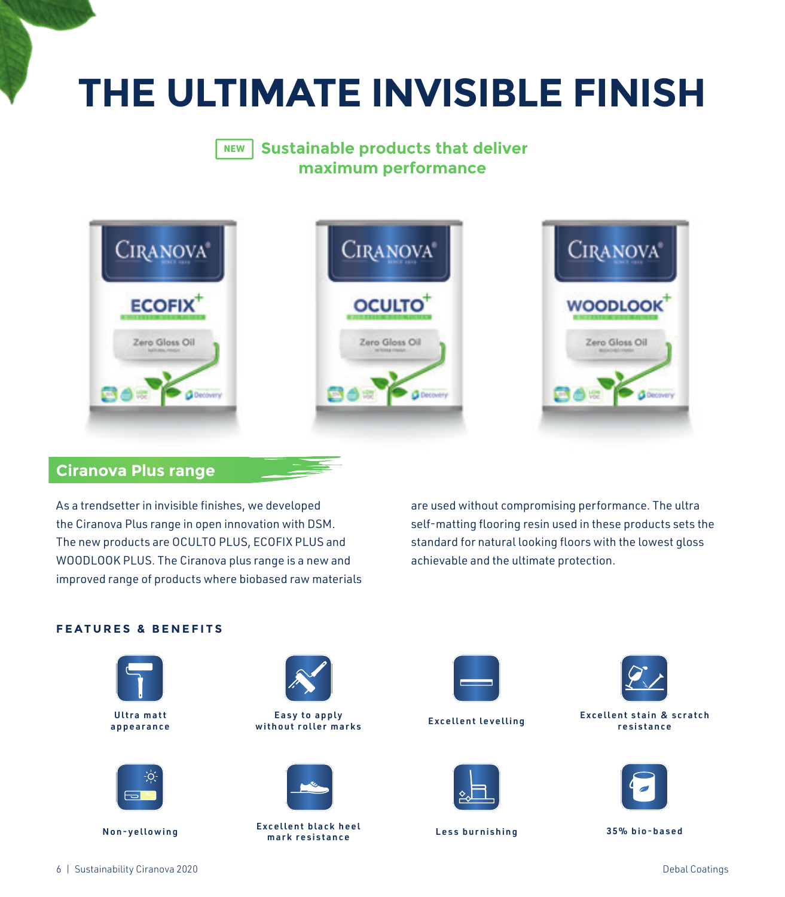# **THE ULTIMATE INVISIBLE FINISH**

### **Sustainable products that deliver maximum performance** NEW



## **Ciranova Plus range**

As a trendsetter in invisible finishes, we developed the Ciranova Plus range in open innovation with DSM. The new products are OCULTO PLUS, ECOFIX PLUS and WOODLOOK PLUS. The Ciranova plus range is a new and improved range of products where biobased raw materials are used without compromising performance. The ultra self-matting flooring resin used in these products sets the standard for natural looking floors with the lowest gloss achievable and the ultimate protection.

## **FEATURES & BENEFITS**







Easy to apply without roller marks Excellent levelling Ultra matt



Non-yellowing Excellent black heel mark resistance Less burnishing 35% bio-based







Excellent stain & scratch resistance